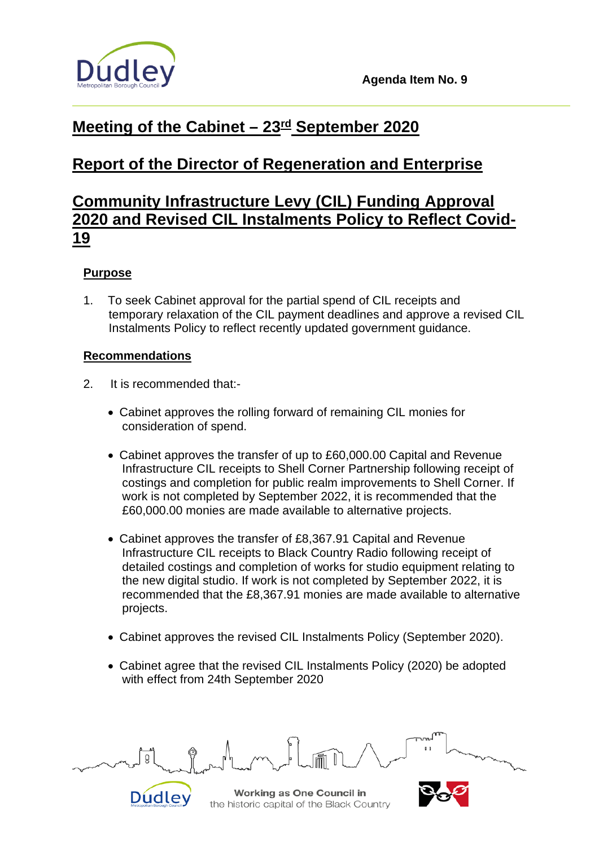

## **Meeting of the Cabinet – 23rd September 2020**

# **Report of the Director of Regeneration and Enterprise**

## **Community Infrastructure Levy (CIL) Funding Approval 2020 and Revised CIL Instalments Policy to Reflect Covid-19**

## **Purpose**

1. To seek Cabinet approval for the partial spend of CIL receipts and temporary relaxation of the CIL payment deadlines and approve a revised CIL Instalments Policy to reflect recently updated government guidance.

## **Recommendations**

- 2. It is recommended that:-
	- Cabinet approves the rolling forward of remaining CIL monies for consideration of spend.
	- Cabinet approves the transfer of up to £60,000.00 Capital and Revenue Infrastructure CIL receipts to Shell Corner Partnership following receipt of costings and completion for public realm improvements to Shell Corner. If work is not completed by September 2022, it is recommended that the £60,000.00 monies are made available to alternative projects.
	- Cabinet approves the transfer of £8,367.91 Capital and Revenue Infrastructure CIL receipts to Black Country Radio following receipt of detailed costings and completion of works for studio equipment relating to the new digital studio. If work is not completed by September 2022, it is recommended that the £8,367.91 monies are made available to alternative projects.
	- Cabinet approves the revised CIL Instalments Policy (September 2020).
	- Cabinet agree that the revised CIL Instalments Policy (2020) be adopted with effect from 24th September 2020



**Working as One Council in** the historic capital of the Black Country

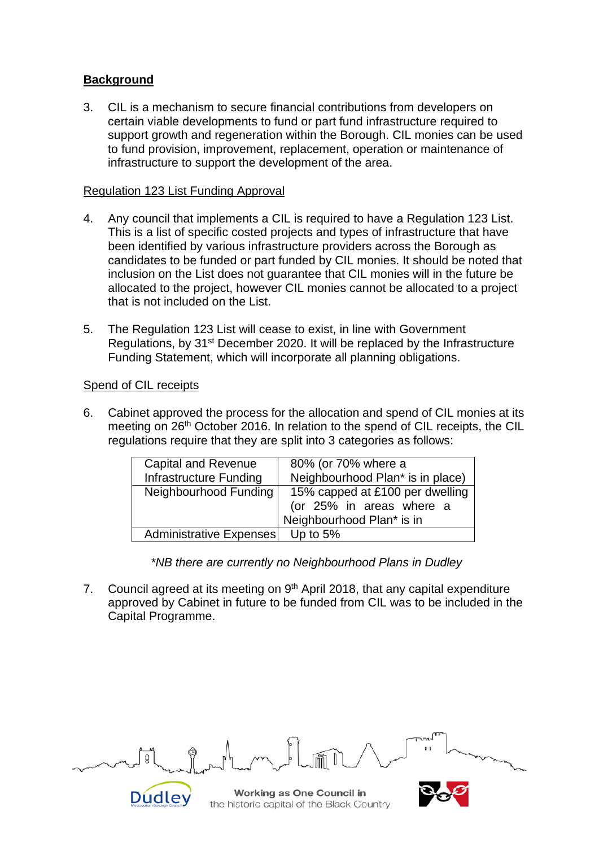## **Background**

3. CIL is a mechanism to secure financial contributions from developers on certain viable developments to fund or part fund infrastructure required to support growth and regeneration within the Borough. CIL monies can be used to fund provision, improvement, replacement, operation or maintenance of infrastructure to support the development of the area.

#### Regulation 123 List Funding Approval

- 4. Any council that implements a CIL is required to have a Regulation 123 List. This is a list of specific costed projects and types of infrastructure that have been identified by various infrastructure providers across the Borough as candidates to be funded or part funded by CIL monies. It should be noted that inclusion on the List does not guarantee that CIL monies will in the future be allocated to the project, however CIL monies cannot be allocated to a project that is not included on the List.
- 5. The Regulation 123 List will cease to exist, in line with Government Regulations, by 31st December 2020. It will be replaced by the Infrastructure Funding Statement, which will incorporate all planning obligations.

#### Spend of CIL receipts

6. Cabinet approved the process for the allocation and spend of CIL monies at its meeting on 26<sup>th</sup> October 2016. In relation to the spend of CIL receipts, the CIL regulations require that they are split into 3 categories as follows:

| <b>Capital and Revenue</b>     | 80% (or 70% where a              |  |  |
|--------------------------------|----------------------------------|--|--|
| Infrastructure Funding         | Neighbourhood Plan* is in place) |  |  |
| Neighbourhood Funding          | 15% capped at £100 per dwelling  |  |  |
|                                | (or 25% in areas where a         |  |  |
|                                | Neighbourhood Plan* is in        |  |  |
| <b>Administrative Expenses</b> | Up to $5%$                       |  |  |

 *\*NB there are currently no Neighbourhood Plans in Dudley*

7. Council agreed at its meeting on 9<sup>th</sup> April 2018, that any capital expenditure approved by Cabinet in future to be funded from CIL was to be included in the Capital Programme.

| m                                                                      | $T$ und |
|------------------------------------------------------------------------|---------|
| Working as One Council in<br>the historic capital of the Black Country |         |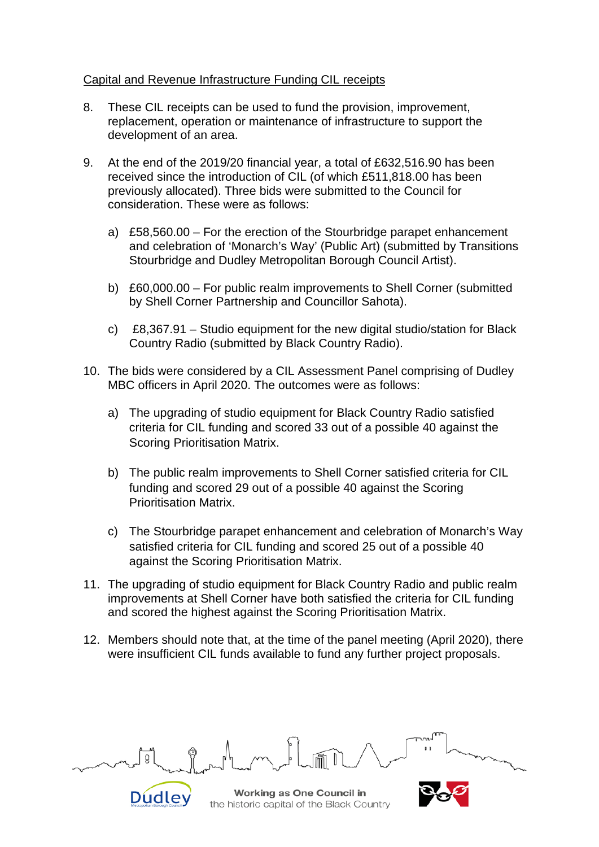### Capital and Revenue Infrastructure Funding CIL receipts

- 8. These CIL receipts can be used to fund the provision, improvement, replacement, operation or maintenance of infrastructure to support the development of an area.
- 9. At the end of the 2019/20 financial year, a total of £632,516.90 has been received since the introduction of CIL (of which £511,818.00 has been previously allocated). Three bids were submitted to the Council for consideration. These were as follows:
	- a) £58,560.00 For the erection of the Stourbridge parapet enhancement and celebration of 'Monarch's Way' (Public Art) (submitted by Transitions Stourbridge and Dudley Metropolitan Borough Council Artist).
	- b) £60,000.00 For public realm improvements to Shell Corner (submitted by Shell Corner Partnership and Councillor Sahota).
	- c) £8,367.91 Studio equipment for the new digital studio/station for Black Country Radio (submitted by Black Country Radio).
- 10. The bids were considered by a CIL Assessment Panel comprising of Dudley MBC officers in April 2020. The outcomes were as follows:
	- a) The upgrading of studio equipment for Black Country Radio satisfied criteria for CIL funding and scored 33 out of a possible 40 against the Scoring Prioritisation Matrix.
	- b) The public realm improvements to Shell Corner satisfied criteria for CIL funding and scored 29 out of a possible 40 against the Scoring Prioritisation Matrix.
	- c) The Stourbridge parapet enhancement and celebration of Monarch's Way satisfied criteria for CIL funding and scored 25 out of a possible 40 against the Scoring Prioritisation Matrix.
- 11. The upgrading of studio equipment for Black Country Radio and public realm improvements at Shell Corner have both satisfied the criteria for CIL funding and scored the highest against the Scoring Prioritisation Matrix.
- 12. Members should note that, at the time of the panel meeting (April 2020), there were insufficient CIL funds available to fund any further project proposals.

**Working as One Council in** Dudley the historic capital of the Black Country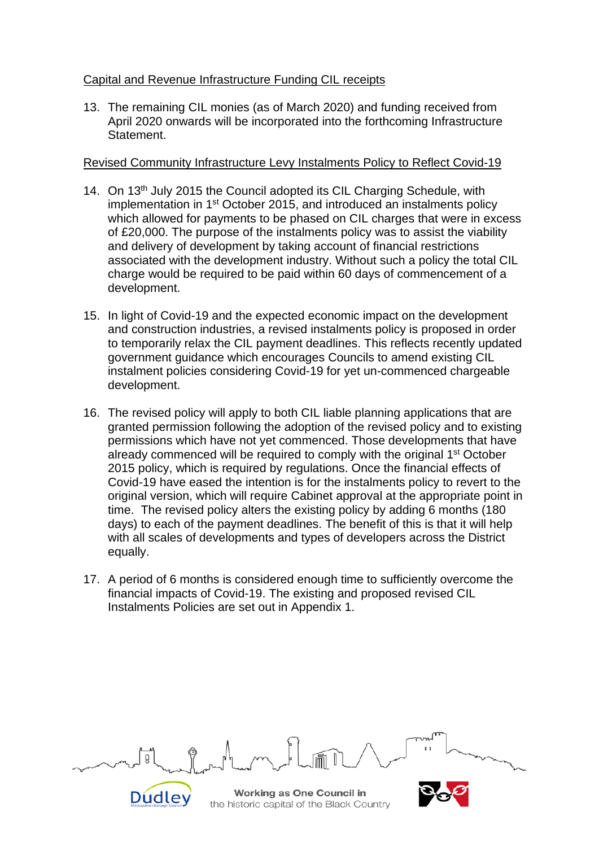## Capital and Revenue Infrastructure Funding CIL receipts

13. The remaining CIL monies (as of March 2020) and funding received from April 2020 onwards will be incorporated into the forthcoming Infrastructure Statement.

### Revised Community Infrastructure Levy Instalments Policy to Reflect Covid-19

- 14. On 13<sup>th</sup> July 2015 the Council adopted its CIL Charging Schedule, with implementation in 1<sup>st</sup> October 2015, and introduced an instalments policy which allowed for payments to be phased on CIL charges that were in excess of £20,000. The purpose of the instalments policy was to assist the viability and delivery of development by taking account of financial restrictions associated with the development industry. Without such a policy the total CIL charge would be required to be paid within 60 days of commencement of a development.
- 15. In light of Covid-19 and the expected economic impact on the development and construction industries, a revised instalments policy is proposed in order to temporarily relax the CIL payment deadlines. This reflects recently updated government guidance which encourages Councils to amend existing CIL instalment policies considering Covid-19 for yet un-commenced chargeable development.
- 16. The revised policy will apply to both CIL liable planning applications that are granted permission following the adoption of the revised policy and to existing permissions which have not yet commenced. Those developments that have already commenced will be required to comply with the original 1<sup>st</sup> October 2015 policy, which is required by regulations. Once the financial effects of Covid-19 have eased the intention is for the instalments policy to revert to the original version, which will require Cabinet approval at the appropriate point in time. The revised policy alters the existing policy by adding 6 months (180 days) to each of the payment deadlines. The benefit of this is that it will help with all scales of developments and types of developers across the District equally.
- 17. A period of 6 months is considered enough time to sufficiently overcome the financial impacts of Covid-19. The existing and proposed revised CIL Instalments Policies are set out in Appendix 1.

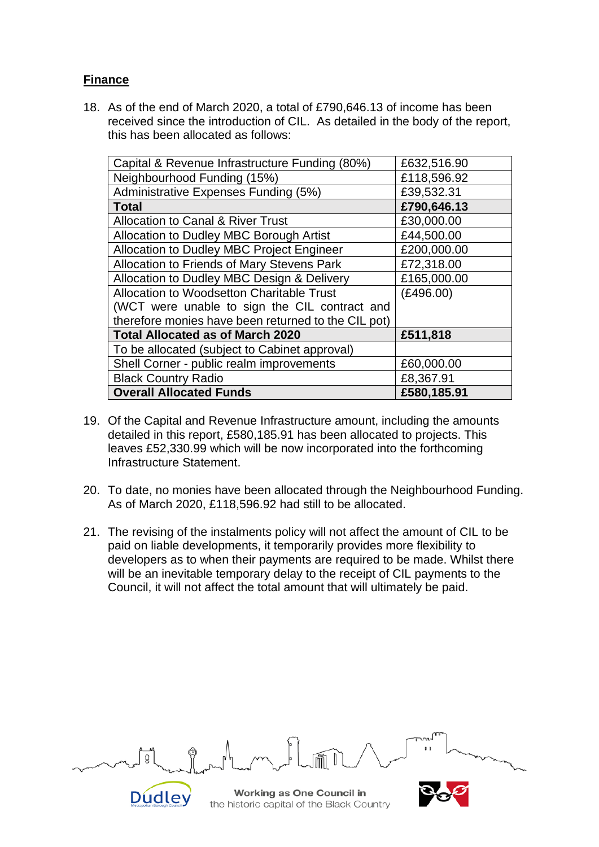## **Finance**

18. As of the end of March 2020, a total of £790,646.13 of income has been received since the introduction of CIL. As detailed in the body of the report, this has been allocated as follows:

| Capital & Revenue Infrastructure Funding (80%)      | £632,516.90 |
|-----------------------------------------------------|-------------|
| Neighbourhood Funding (15%)                         | £118,596.92 |
| Administrative Expenses Funding (5%)                | £39,532.31  |
| Total                                               | £790,646.13 |
| <b>Allocation to Canal &amp; River Trust</b>        | £30,000.00  |
| Allocation to Dudley MBC Borough Artist             | £44,500.00  |
| Allocation to Dudley MBC Project Engineer           | £200,000.00 |
| Allocation to Friends of Mary Stevens Park          | £72,318.00  |
| Allocation to Dudley MBC Design & Delivery          | £165,000.00 |
| Allocation to Woodsetton Charitable Trust           | (E496.00)   |
| (WCT were unable to sign the CIL contract and       |             |
| therefore monies have been returned to the CIL pot) |             |
| <b>Total Allocated as of March 2020</b>             | £511,818    |
| To be allocated (subject to Cabinet approval)       |             |
| Shell Corner - public realm improvements            | £60,000.00  |
| <b>Black Country Radio</b>                          | £8,367.91   |
| <b>Overall Allocated Funds</b>                      | £580,185.91 |

- 19. Of the Capital and Revenue Infrastructure amount, including the amounts detailed in this report, £580,185.91 has been allocated to projects. This leaves £52,330.99 which will be now incorporated into the forthcoming Infrastructure Statement.
- 20. To date, no monies have been allocated through the Neighbourhood Funding. As of March 2020, £118,596.92 had still to be allocated.
- 21. The revising of the instalments policy will not affect the amount of CIL to be paid on liable developments, it temporarily provides more flexibility to developers as to when their payments are required to be made. Whilst there will be an inevitable temporary delay to the receipt of CIL payments to the Council, it will not affect the total amount that will ultimately be paid.

| m<br>ր/կ                                                               | T |
|------------------------------------------------------------------------|---|
| Working as One Council in<br>the historic capital of the Black Country |   |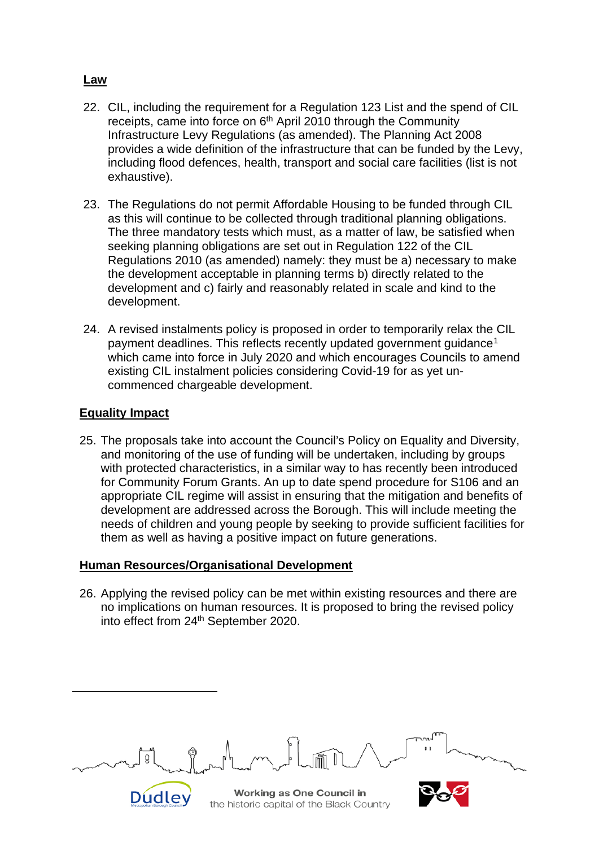## **Law**

- 22. CIL, including the requirement for a Regulation 123 List and the spend of CIL receipts, came into force on 6<sup>th</sup> April 2010 through the Community Infrastructure Levy Regulations (as amended). The Planning Act 2008 provides a wide definition of the infrastructure that can be funded by the Levy, including flood defences, health, transport and social care facilities (list is not exhaustive).
- 23. The Regulations do not permit Affordable Housing to be funded through CIL as this will continue to be collected through traditional planning obligations. The three mandatory tests which must, as a matter of law, be satisfied when seeking planning obligations are set out in Regulation 122 of the CIL Regulations 2010 (as amended) namely: they must be a) necessary to make the development acceptable in planning terms b) directly related to the development and c) fairly and reasonably related in scale and kind to the development.
- 24. A revised instalments policy is proposed in order to temporarily relax the CIL payment deadlines. This reflects recently updated government quidance<sup>[1](#page-5-0)</sup> which came into force in July 2020 and which encourages Councils to amend existing CIL instalment policies considering Covid-19 for as yet uncommenced chargeable development.

## **Equality Impact**

25. The proposals take into account the Council's Policy on Equality and Diversity, and monitoring of the use of funding will be undertaken, including by groups with protected characteristics, in a similar way to has recently been introduced for Community Forum Grants. An up to date spend procedure for S106 and an appropriate CIL regime will assist in ensuring that the mitigation and benefits of development are addressed across the Borough. This will include meeting the needs of children and young people by seeking to provide sufficient facilities for them as well as having a positive impact on future generations.

#### **Human Resources/Organisational Development**

26. Applying the revised policy can be met within existing resources and there are no implications on human resources. It is proposed to bring the revised policy into effect from 24<sup>th</sup> September 2020.

<span id="page-5-0"></span>

|                                                                        | T |
|------------------------------------------------------------------------|---|
| Working as One Council in<br>the historic capital of the Black Country |   |